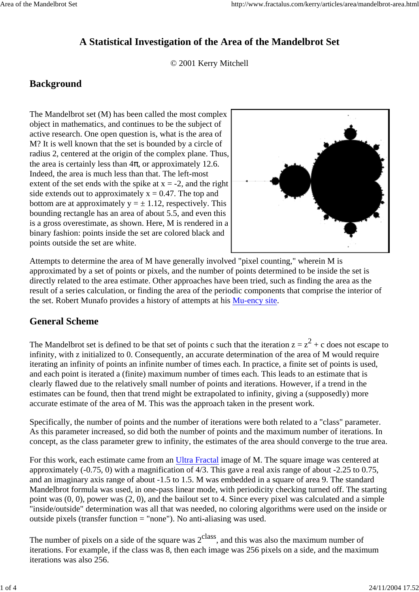# **A Statistical Investigation of the Area of the Mandelbrot Set**

© 2001 Kerry Mitchell

### **Background**

The Mandelbrot set (M) has been called the most complex object in mathematics, and continues to be the subject of active research. One open question is, what is the area of M? It is well known that the set is bounded by a circle of radius 2, centered at the origin of the complex plane. Thus, the area is certainly less than  $4\pi$ , or approximately 12.6. Indeed, the area is much less than that. The left-most extent of the set ends with the spike at  $x = -2$ , and the right side extends out to approximately  $x = 0.47$ . The top and bottom are at approximately  $y = \pm 1.12$ , respectively. This bounding rectangle has an area of about 5.5, and even this is a gross overestimate, as shown. Here, M is rendered in a binary fashion: points inside the set are colored black and points outside the set are white.



Attempts to determine the area of M have generally involved "pixel counting," wherein M is approximated by a set of points or pixels, and the number of points determined to be inside the set is directly related to the area estimate. Other approaches have been tried, such as finding the area as the result of a series calculation, or finding the area of the periodic components that comprise the interior of the set. Robert Munafo provides a history of attempts at his Mu-ency site.

#### **General Scheme**

The Mandelbrot set is defined to be that set of points c such that the iteration  $z = z^2 + c$  does not escape to infinity, with z initialized to 0. Consequently, an accurate determination of the area of M would require iterating an infinity of points an infinite number of times each. In practice, a finite set of points is used, and each point is iterated a (finite) maximum number of times each. This leads to an estimate that is clearly flawed due to the relatively small number of points and iterations. However, if a trend in the estimates can be found, then that trend might be extrapolated to infinity, giving a (supposedly) more accurate estimate of the area of M. This was the approach taken in the present work.

Specifically, the number of points and the number of iterations were both related to a "class" parameter. As this parameter increased, so did both the number of points and the maximum number of iterations. In concept, as the class parameter grew to infinity, the estimates of the area should converge to the true area.

For this work, each estimate came from an Ultra Fractal image of M. The square image was centered at approximately (-0.75, 0) with a magnification of 4/3. This gave a real axis range of about -2.25 to 0.75, and an imaginary axis range of about -1.5 to 1.5. M was embedded in a square of area 9. The standard Mandelbrot formula was used, in one-pass linear mode, with periodicity checking turned off. The starting point was (0, 0), power was (2, 0), and the bailout set to 4. Since every pixel was calculated and a simple "inside/outside" determination was all that was needed, no coloring algorithms were used on the inside or outside pixels (transfer function = "none"). No anti-aliasing was used.

The number of pixels on a side of the square was  $2<sup>class</sup>$ , and this was also the maximum number of iterations. For example, if the class was 8, then each image was 256 pixels on a side, and the maximum iterations was also 256.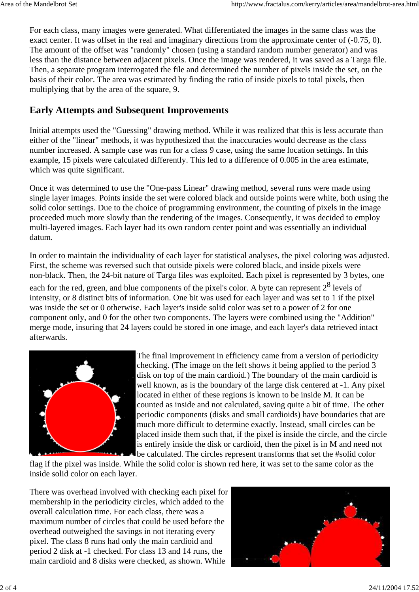For each class, many images were generated. What differentiated the images in the same class was the exact center. It was offset in the real and imaginary directions from the approximate center of (-0.75, 0). The amount of the offset was "randomly" chosen (using a standard random number generator) and was less than the distance between adjacent pixels. Once the image was rendered, it was saved as a Targa file. Then, a separate program interrogated the file and determined the number of pixels inside the set, on the basis of their color. The area was estimated by finding the ratio of inside pixels to total pixels, then multiplying that by the area of the square, 9.

## **Early Attempts and Subsequent Improvements**

Initial attempts used the "Guessing" drawing method. While it was realized that this is less accurate than either of the "linear" methods, it was hypothesized that the inaccuracies would decrease as the class number increased. A sample case was run for a class 9 case, using the same location settings. In this example, 15 pixels were calculated differently. This led to a difference of 0.005 in the area estimate, which was quite significant.

Once it was determined to use the "One-pass Linear" drawing method, several runs were made using single layer images. Points inside the set were colored black and outside points were white, both using the solid color settings. Due to the choice of programming environment, the counting of pixels in the image proceeded much more slowly than the rendering of the images. Consequently, it was decided to employ multi-layered images. Each layer had its own random center point and was essentially an individual datum.

In order to maintain the individuality of each layer for statistical analyses, the pixel coloring was adjusted. First, the scheme was reversed such that outside pixels were colored black, and inside pixels were non-black. Then, the 24-bit nature of Targa files was exploited. Each pixel is represented by 3 bytes, one

each for the red, green, and blue components of the pixel's color. A byte can represent  $2^8$  levels of intensity, or 8 distinct bits of information. One bit was used for each layer and was set to 1 if the pixel was inside the set or 0 otherwise. Each layer's inside solid color was set to a power of 2 for one component only, and 0 for the other two components. The layers were combined using the "Addition" merge mode, insuring that 24 layers could be stored in one image, and each layer's data retrieved intact afterwards.



The final improvement in efficiency came from a version of periodicity checking. (The image on the left shows it being applied to the period 3 disk on top of the main cardioid.) The boundary of the main cardioid is well known, as is the boundary of the large disk centered at -1. Any pixel located in either of these regions is known to be inside M. It can be counted as inside and not calculated, saving quite a bit of time. The other periodic components (disks and small cardioids) have boundaries that are much more difficult to determine exactly. Instead, small circles can be placed inside them such that, if the pixel is inside the circle, and the circle is entirely inside the disk or cardioid, then the pixel is in M and need not be calculated. The circles represent transforms that set the #solid color

flag if the pixel was inside. While the solid color is shown red here, it was set to the same color as the inside solid color on each layer.

There was overhead involved with checking each pixel for membership in the periodicity circles, which added to the overall calculation time. For each class, there was a maximum number of circles that could be used before the overhead outweighed the savings in not iterating every pixel. The class 8 runs had only the main cardioid and period 2 disk at -1 checked. For class 13 and 14 runs, the main cardioid and 8 disks were checked, as shown. While

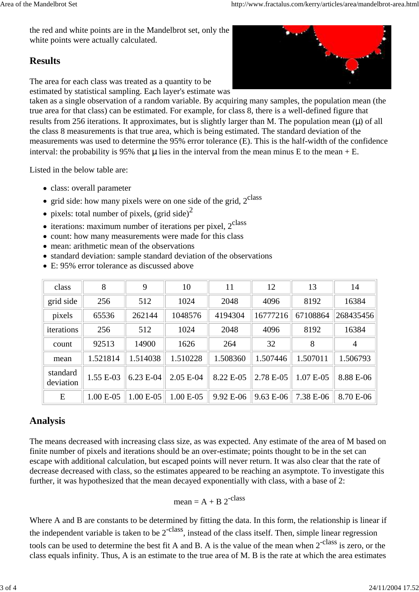the red and white points are in the Mandelbrot set, only the white points were actually calculated.

# **Results**

The area for each class was treated as a quantity to be estimated by statistical sampling. Each layer's estimate was

taken as a single observation of a random variable. By acquiring many samples, the population mean (the true area for that class) can be estimated. For example, for class 8, there is a well-defined figure that results from 256 iterations. It approximates, but is slightly larger than M. The population mean  $(\mu)$  of all the class 8 measurements is that true area, which is being estimated. The standard deviation of the measurements was used to determine the 95% error tolerance (E). This is the half-width of the confidence interval: the probability is 95% that  $\mu$  lies in the interval from the mean minus E to the mean + E.

Listed in the below table are:

- class: overall parameter
- $\bullet$  grid side: how many pixels were on one side of the grid,  $2^{class}$
- pixels: total number of pixels, (grid side)<sup>2</sup>
- $\bullet$  iterations: maximum number of iterations per pixel,  $2^{class}$
- count: how many measurements were made for this class
- mean: arithmetic mean of the observations
- standard deviation: sample standard deviation of the observations
- E: 95% error tolerance as discussed above

| class                 | 8           | 9           | 10          | 11        | 12        | 13          | 14             |
|-----------------------|-------------|-------------|-------------|-----------|-----------|-------------|----------------|
| grid side             | 256         | 512         | 1024        | 2048      | 4096      | 8192        | 16384          |
| pixels                | 65536       | 262144      | 1048576     | 4194304   | 16777216  | 67108864    | 268435456      |
| iterations            | 256         | 512         | 1024        | 2048      | 4096      | 8192        | 16384          |
| count                 | 92513       | 14900       | 1626        | 264       | 32        | 8           | $\overline{4}$ |
| mean                  | 1.521814    | 1.514038    | 1.510228    | 1.508360  | 1.507446  | 1.507011    | 1.506793       |
| standard<br>deviation | 1.55 E-03   | 6.23 E-04   | 2.05 E-04   | 8.22 E-05 | 2.78 E-05 | $1.07 E-05$ | 8.88 E-06      |
| E                     | $1.00 E-05$ | $1.00 E-05$ | $1.00 E-05$ | 9.92 E-06 | 9.63 E-06 | 7.38 E-06   | 8.70 E-06      |

# **Analysis**

The means decreased with increasing class size, as was expected. Any estimate of the area of M based on finite number of pixels and iterations should be an over-estimate; points thought to be in the set can escape with additional calculation, but escaped points will never return. It was also clear that the rate of decrease decreased with class, so the estimates appeared to be reaching an asymptote. To investigate this further, it was hypothesized that the mean decayed exponentially with class, with a base of 2:

mean =  $A + B 2^{-class}$ 

Where A and B are constants to be determined by fitting the data. In this form, the relationship is linear if the independent variable is taken to be  $2^{-class}$ , instead of the class itself. Then, simple linear regression tools can be used to determine the best fit A and B. A is the value of the mean when 2<sup>-class</sup> is zero, or the class equals infinity. Thus, A is an estimate to the true area of M. B is the rate at which the area estimates